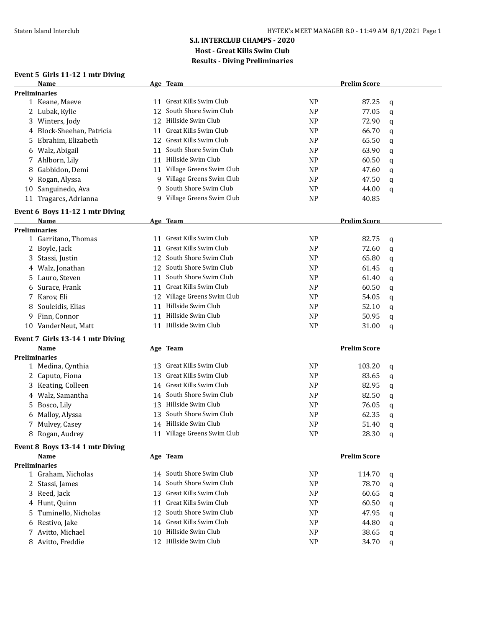## **S.I. INTERCLUB CHAMPS - 2020 Host - Great Kills Swim Club Results - Diving Preliminaries**

## **Event 5 Girls 11-12 1 mtr Diving**

| Name                             |    | Age Team                                          |                | <b>Prelim Score</b> |  |  |
|----------------------------------|----|---------------------------------------------------|----------------|---------------------|--|--|
| <b>Preliminaries</b>             |    |                                                   |                |                     |  |  |
| 1 Keane, Maeve                   | 11 | Great Kills Swim Club                             | <b>NP</b>      | 87.25<br>q          |  |  |
| 2 Lubak, Kylie                   | 12 | South Shore Swim Club                             | N <sub>P</sub> | 77.05<br>q          |  |  |
| 3 Winters, Jody                  | 12 | Hillside Swim Club                                | N <sub>P</sub> | 72.90<br>q          |  |  |
| 4 Block-Sheehan, Patricia        | 11 | Great Kills Swim Club                             | N <sub>P</sub> | 66.70<br>q          |  |  |
| Ebrahim, Elizabeth<br>5.         | 12 | Great Kills Swim Club                             | N <sub>P</sub> | 65.50<br>q          |  |  |
| Walz, Abigail<br>6               | 11 | South Shore Swim Club                             | <b>NP</b>      | 63.90<br>q          |  |  |
| Ahlborn, Lily<br>7               | 11 | Hillside Swim Club                                | <b>NP</b>      | 60.50<br>q          |  |  |
| Gabbidon, Demi<br>8              |    | 11 Village Greens Swim Club                       | <b>NP</b>      | 47.60<br>q          |  |  |
| Rogan, Alyssa<br>9.              |    | 9 Village Greens Swim Club                        | N <sub>P</sub> | 47.50<br>q          |  |  |
| Sanguinedo, Ava<br>10            |    | 9 South Shore Swim Club                           | N <sub>P</sub> | 44.00<br>q          |  |  |
| 11 Tragares, Adrianna            |    | 9 Village Greens Swim Club                        | <b>NP</b>      | 40.85               |  |  |
| Event 6 Boys 11-12 1 mtr Diving  |    |                                                   |                |                     |  |  |
| Name                             |    | Age Team                                          |                | <b>Prelim Score</b> |  |  |
| <b>Preliminaries</b>             |    |                                                   |                |                     |  |  |
| 1 Garritano, Thomas              | 11 | Great Kills Swim Club                             | N <sub>P</sub> | 82.75<br>q          |  |  |
| 2 Boyle, Jack                    | 11 | Great Kills Swim Club                             | <b>NP</b>      | 72.60<br>q          |  |  |
| 3 Stassi, Justin                 |    | 12 South Shore Swim Club                          | <b>NP</b>      | 65.80<br>q          |  |  |
| Walz, Jonathan<br>4              |    | 12 South Shore Swim Club                          | N <sub>P</sub> | 61.45<br>q          |  |  |
| Lauro, Steven<br>5.              | 11 | South Shore Swim Club                             | <b>NP</b>      | 61.40<br>q          |  |  |
| Surace, Frank<br>6               |    | 11 Great Kills Swim Club                          | N <sub>P</sub> | 60.50<br>q          |  |  |
| Karov, Eli<br>7                  |    | 12 Village Greens Swim Club                       | N <sub>P</sub> | 54.05<br>q          |  |  |
| Souleidis, Elias<br>8            |    | 11 Hillside Swim Club                             | N <sub>P</sub> | 52.10<br>q          |  |  |
| Finn, Connor<br>9                |    | 11 Hillside Swim Club                             | N <sub>P</sub> | 50.95<br>q          |  |  |
| VanderNeut, Matt<br>10           |    | 11 Hillside Swim Club                             | N <sub>P</sub> | 31.00<br>q          |  |  |
| Event 7 Girls 13-14 1 mtr Diving |    |                                                   |                |                     |  |  |
| Name                             |    | Age Team                                          |                | <b>Prelim Score</b> |  |  |
| <b>Preliminaries</b>             |    |                                                   |                |                     |  |  |
| 1 Medina, Cynthia                |    | 13 Great Kills Swim Club                          | N <sub>P</sub> | 103.20<br>q         |  |  |
| 2 Caputo, Fiona                  |    | 13 Great Kills Swim Club                          | <b>NP</b>      | 83.65<br>q          |  |  |
| 3 Keating, Colleen               |    | 14 Great Kills Swim Club                          | <b>NP</b>      | 82.95<br>q          |  |  |
| 4 Walz, Samantha                 |    | 14 South Shore Swim Club                          | <b>NP</b>      | 82.50<br>q          |  |  |
| Bosco, Lily<br>5.                |    | 13 Hillside Swim Club                             | <b>NP</b>      | 76.05<br>q          |  |  |
| Malloy, Alyssa<br>6              |    | 13 South Shore Swim Club                          | <b>NP</b>      | 62.35<br>q          |  |  |
| Mulvey, Casey<br>7               |    | 14 Hillside Swim Club                             | <b>NP</b>      | 51.40<br>q          |  |  |
| 8 Rogan, Audrey                  |    | 11 Village Greens Swim Club                       | <b>NP</b>      | 28.30<br>q          |  |  |
| Event 8 Boys 13-14 1 mtr Diving  |    |                                                   |                |                     |  |  |
| Name                             |    | Age Team                                          |                | <b>Prelim Score</b> |  |  |
| <b>Preliminaries</b>             |    |                                                   |                |                     |  |  |
| 1 Graham, Nicholas               |    | 14 South Shore Swim Club<br>South Shore Swim Club | <b>NP</b>      | 114.70<br>q         |  |  |
| 2 Stassi, James                  | 14 |                                                   | <b>NP</b>      | 78.70<br>q          |  |  |
| 3 Reed, Jack                     | 13 | Great Kills Swim Club                             | N <sub>P</sub> | 60.65<br>q          |  |  |
| 4 Hunt, Quinn                    | 11 | Great Kills Swim Club                             | <b>NP</b>      | 60.50<br>q          |  |  |
| Tuminello, Nicholas<br>5.        | 12 | South Shore Swim Club                             | <b>NP</b>      | 47.95<br>q          |  |  |
| Restivo, Jake<br>6               | 14 | Great Kills Swim Club                             | <b>NP</b>      | 44.80<br>q          |  |  |
| Avitto, Michael<br>7             | 10 | Hillside Swim Club                                | <b>NP</b>      | 38.65<br>q          |  |  |
| 8 Avitto, Freddie                |    | 12 Hillside Swim Club                             | NP             | 34.70<br>q          |  |  |